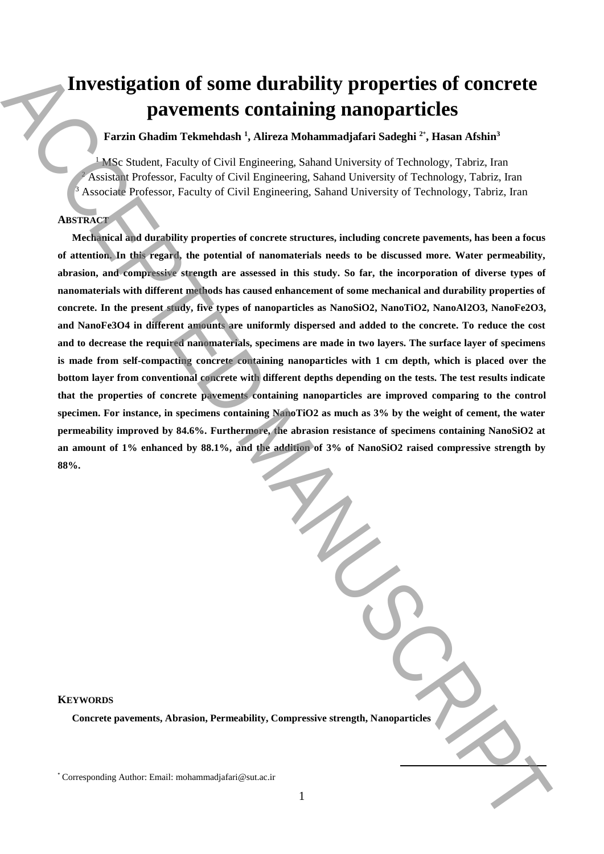# **Investigation of some durability properties of concrete pavements containing nanoparticles**

**Farzin Ghadim Tekmehdash <sup>1</sup> , Alireza Mohammadjafari Sadeghi <sup>2</sup>**\* **, Hasan Afshin<sup>3</sup>**

<sup>1</sup> MSc Student, Faculty of Civil Engineering, Sahand University of Technology, Tabriz, Iran <sup>2</sup> Assistant Professor, Faculty of Civil Engineering, Sahand University of Technology, Tabriz, Iran Associate Professor, Faculty of Civil Engineering, Sahand University of Technology, Tabriz, Iran

## **ABSTRACT**

**Mechanical and durability properties of concrete structures, including concrete pavements, has been a focus of attention. In this regard, the potential of nanomaterials needs to be discussed more. Water permeability, abrasion, and compressive strength are assessed in this study. So far, the incorporation of diverse types of nanomaterials with different methods has caused enhancement of some mechanical and durability properties of**  concrete. In the present study, five types of nanoparticles as NanoSiO2, NanoTiO2, NanoAl2O3, NanoFe2O3, **and NanoFe3O4 in different amounts are uniformly dispersed and added to the concrete. To reduce the cost and to decrease the required nanomaterials, specimens are made in two layers. The surface layer of specimens is made from self-compacting concrete containing nanoparticles with 1 cm depth, which is placed over the bottom layer from conventional concrete with different depths depending on the tests. The test results indicate that the properties of concrete pavements containing nanoparticles are improved comparing to the control specimen. For instance, in specimens containing NanoTiO2 as much as 3% by the weight of cement, the water permeability improved by 84.6%. Furthermore, the abrasion resistance of specimens containing NanoSiO2 at an amount of 1% enhanced by 88.1%, and the addition of 3% of NanoSiO2 raised compressive strength by 88%. Example 11 The Corresponding Author: Email:**  $\mu$  Corresponding Author: Email:  $\mu$  Corresponding Author: Email:  $\mu$  Corresponding Corresponding Corresponding Corresponding Corresponding Corresponding Corresponding Corr

#### **KEYWORDS**

**Concrete pavements, Abrasion, Permeability, Compressive strength, Nanoparticles** 

**.**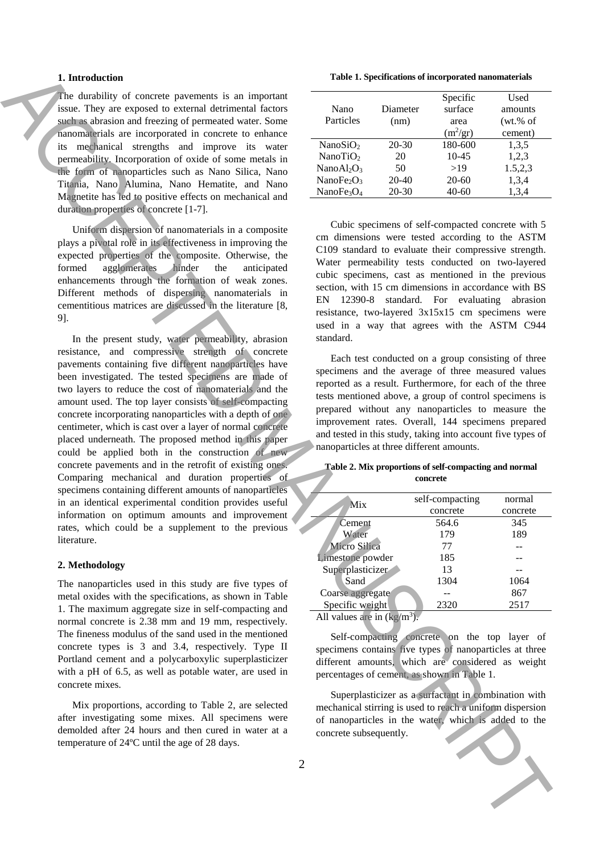#### **1. Introduction**

The durability of concrete pavements is an important issue. They are exposed to external detrimental factors such as abrasion and freezing of permeated water. Some nanomaterials are incorporated in concrete to enhance its mechanical strengths and improve its water permeability. Incorporation of oxide of some metals in the form of nanoparticles such as Nano Silica, Nano Titania, Nano Alumina, Nano Hematite, and Nano Magnetite has led to positive effects on mechanical and duration properties of concrete [1-7].

Uniform dispersion of nanomaterials in a composite plays a pivotal role in its effectiveness in improving the expected properties of the composite. Otherwise, the formed agglomerates hinder the anticipated formed agglomerates hinder the anticipated enhancements through the formation of weak zones. Different methods of dispersing nanomaterials in cementitious matrices are discussed in the literature [8, 9].

In the present study, water permeability, abrasion resistance, and compressive strength of concrete pavements containing five different nanoparticles have been investigated. The tested specimens are made of two layers to reduce the cost of nanomaterials and the amount used. The top layer consists of self-compacting concrete incorporating nanoparticles with a depth of one centimeter, which is cast over a layer of normal concrete placed underneath. The proposed method in this paper could be applied both in the construction of new concrete pavements and in the retrofit of existing ones. Comparing mechanical and duration properties of specimens containing different amounts of nanoparticles in an identical experimental condition provides useful information on optimum amounts and improvement rates, which could be a supplement to the previous literature. **Interdebute concrete processes** is an angentur. These Experiments in the subsection of the subsection of the subsection of the subsection of the subsection of the subsection of the subsection of the subsection of the sub

#### **2. Methodology**

The nanoparticles used in this study are five types of metal oxides with the specifications, as shown in Table 1. The maximum aggregate size in self-compacting and normal concrete is 2.38 mm and 19 mm, respectively. The fineness modulus of the sand used in the mentioned concrete types is 3 and 3.4, respectively. Type II Portland cement and a polycarboxylic superplasticizer with a pH of 6.5, as well as potable water, are used in concrete mixes.

Mix proportions, according to Table 2, are selected after investigating some mixes. All specimens were demolded after 24 hours and then cured in water at a temperature of 24ºC until the age of 28 days.

**Table 1. Specifications of incorporated nanomaterials**

| Nano<br>Particles                  | Diameter<br>(nm) | Specific<br>surface<br>area<br>$(m^2/gr)$ | Used<br>amounts<br>(wt. % of<br>cement) |
|------------------------------------|------------------|-------------------------------------------|-----------------------------------------|
| NanoSiO $2$                        | 20-30            | 180-600                                   | 1,3,5                                   |
| NanoTiO <sub>2</sub>               | 20               | $10 - 45$                                 | 1,2,3                                   |
| NanoAl <sub>2</sub> O <sub>3</sub> | 50               | >19                                       | 1.5,2,3                                 |
| NanoFe <sub>2</sub> O <sub>3</sub> | $20-40$          | $20-60$                                   | 1,3,4                                   |
| NanoFe <sub>3</sub> $O_4$          | $20 - 30$        | 40-60                                     | 1,3,4                                   |

Cubic specimens of self-compacted concrete with 5 cm dimensions were tested according to the ASTM C109 standard to evaluate their compressive strength. Water permeability tests conducted on two-layered cubic specimens, cast as mentioned in the previous section, with 15 cm dimensions in accordance with BS EN 12390-8 standard. For evaluating abrasion resistance, two-layered 3x15x15 cm specimens were used in a way that agrees with the ASTM C944 standard.

Each test conducted on a group consisting of three specimens and the average of three measured values reported as a result. Furthermore, for each of the three tests mentioned above, a group of control specimens is prepared without any nanoparticles to measure the improvement rates. Overall, 144 specimens prepared and tested in this study, taking into account five types of nanoparticles at three different amounts.

#### **Table 2. Mix proportions of self-compacting and normal concrete**

| Mix                                               | self-compacting | normal   |
|---------------------------------------------------|-----------------|----------|
|                                                   | concrete        | concrete |
| Cement                                            | 564.6           | 345      |
| Water                                             | 179             | 189      |
| Micro Silica                                      | 77              |          |
| Limestone powder                                  | 185             |          |
| Superplasticizer                                  | 13              |          |
| Sand                                              | 1304            | 1064     |
| Coarse aggregate                                  |                 | 867      |
| Specific weight                                   | 2320            | 2517     |
| $\Lambda$ ll voluge and in $\Lambda_{\alpha}/m^3$ |                 |          |

All values are in  $\frac{\text{kg}}{m^3}$ .

Self-compacting concrete on the top layer of specimens contains five types of nanoparticles at three different amounts, which are considered as weight percentages of cement, as shown in Table 1.

Superplasticizer as a surfactant in combination with mechanical stirring is used to reach a uniform dispersion of nanoparticles in the water, which is added to the